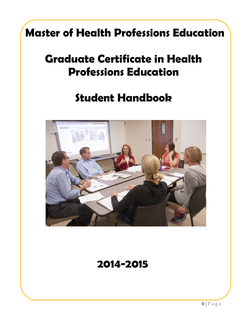# **Master of Health Professions Education**

# **Graduate Certificate in Health Professions Education**

# **Student Handbook**



## **2014-2015**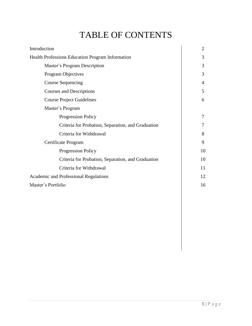## TABLE OF CONTENTS

| Introduction                                            |    |
|---------------------------------------------------------|----|
| <b>Health Professions Education Program Information</b> |    |
| Master's Program Description                            | 3  |
| Program Objectives                                      | 3  |
| <b>Course Sequencing</b>                                | 4  |
| <b>Courses and Descriptions</b>                         | 5  |
| <b>Course Project Guidelines</b>                        | 6  |
| Master's Program                                        |    |
| <b>Progression Policy</b>                               | 7  |
| Criteria for Probation, Separation, and Graduation      | 7  |
| Criteria for Withdrawal                                 | 8  |
| Certificate Program                                     |    |
| <b>Progression Policy</b>                               | 10 |
| Criteria for Probation, Separation, and Graduation      | 10 |
| Criteria for Withdrawal                                 | 11 |
| <b>Academic and Professional Regulations</b>            |    |
| Master's Portfolio                                      |    |
|                                                         |    |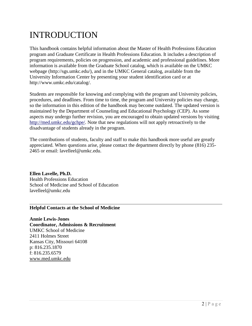## INTRODUCTION

This handbook contains helpful information about the Master of Health Professions Education program and Graduate Certificate in Health Professions Education. It includes a description of program requirements, policies on progression, and academic and professional guidelines. More information is available from the Graduate School catalog, which is available on the UMKC webpage (http://sgs.umkc.edu/), and in the UMKC General catalog, available from the University Information Center by presenting your student identification card or at http://www.umkc.edu/catalog/.

Students are responsible for knowing and complying with the program and University policies, procedures, and deadlines. From time to time, the program and University policies may change, so the information in this edition of the handbook may become outdated. The updated version is maintained by the Department of Counseling and Educational Psychology (CEP). As some aspects may undergo further revision, you are encouraged to obtain updated versions by visiting [http://med.umkc.edu/gchpe/.](http://med.umkc.edu/gchpe/) Note that new regulations will not apply retroactively to the disadvantage of students already in the program.

The contributions of students, faculty and staff to make this handbook more useful are greatly appreciated. When questions arise, please contact the department directly by phone (816) 235- 2465 or email: lavelleel@umkc.edu.

**Ellen Lavelle, Ph.D.** Health Professions Education School of Medicine and School of Education lavelleel@umkc.edu

#### **Helpful Contacts at the School of Medicine**

**Annie Lewis-Jones Coordinator, Admissions & Recruitment** UMKC School of Medicine 2411 Holmes Street Kansas City, Missouri 64108 p: 816.235.1870 f: 816.235.6579 [www.med.umkc.edu](http://www.med.umkc.edu/)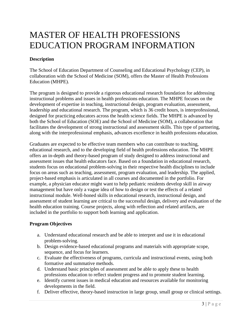### MASTER OF HEALTH PROFESSIONS EDUCATION PROGRAM INFORMATION

#### **Description**

The School of Education Department of Counseling and Educational Psychology (CEP), in collaboration with the School of Medicine (SOM), offers the Master of Health Professions Education (MHPE).

The program is designed to provide a rigorous educational research foundation for addressing instructional problems and issues in health professions education. The MHPE focuses on the development of expertise in teaching, instructional design, program evaluation, assessment, leadership and educational research. The program, which is 36 credit hours, is interprofessional, designed for practicing educators across the health science fields. The MHPE is advanced by both the School of Education (SOE) and the School of Medicine (SOM), a collaboration that facilitates the development of strong instructional and assessment skills. This type of partnering, along with the interprofessional emphasis, advances excellence in health professions education.

Graduates are expected to be effective team members who can contribute to teaching, educational research, and to the developing field of health professions education. The MHPE offers an in-depth and theory-based program of study designed to address instructional and assessment issues that health educators face. Based on a foundation in educational research, students focus on educational problem-solving in their respective health disciplines to include focus on areas such as teaching, assessment, program evaluation, and leadership. The applied, project-based emphasis is articulated in all courses and documented in the portfolio. For example, a physician educator might want to help pediatric residents develop skill in airway management but have only a vague idea of how to design or test the effects of a related instructional module. Well-honed skills in educational research, instructional design, and assessment of student learning are critical to the successful design, delivery and evaluation of the health education training. Course projects, along with reflection and related artifacts, are included in the portfolio to support both learning and application.

#### **Program Objectives**

- a. Understand educational research and be able to interpret and use it in educational problem-solving.
- b. Design evidence-based educational programs and materials with appropriate scope, sequence, and focus for learners.
- c. Evaluate the effectiveness of programs, curricula and instructional events, using both formative and summative methods.
- d. Understand basic principles of assessment and be able to apply these to health professions education to reflect student progress and to promote student learning.
- e. Identify current issues in medical education and resources available for monitoring developments in the field.
- f. Deliver effective, theory-based instruction in large group, small group or clinical settings.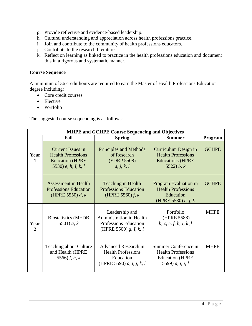- g. Provide reflective and evidence-based leadership.
- h. Cultural understanding and appreciation across health professions practice.
- i. Join and contribute to the community of health professions educators.
- j. Contribute to the research literature.
- k. Reflect on learning as linked to practice in the health professions education and document this in a rigorous and systematic manner.

#### **Course Sequence**

A minimum of 36 credit hours are required to earn the Master of Health Professions Education degree including:

- Core credit courses
- Elective
- Portfolio

The suggested course sequencing is as follows:

| <b>MHPE and GCHPE Course Sequencing and Objectives</b> |                                                                                                           |                                                                                                      |                                                                                                   |              |
|--------------------------------------------------------|-----------------------------------------------------------------------------------------------------------|------------------------------------------------------------------------------------------------------|---------------------------------------------------------------------------------------------------|--------------|
|                                                        | Fall                                                                                                      | <b>Spring</b>                                                                                        | <b>Summer</b>                                                                                     | Program      |
| Year<br>$\mathbf{1}$                                   | <b>Current Issues in</b><br><b>Health Professions</b><br><b>Education (HPRE)</b><br>5530) $e, h, I, k, l$ | <b>Principles and Methods</b><br>of Research<br>(EDRP 5508)<br>a, j, k, l                            | Curriculum Design in<br><b>Health Professions</b><br><b>Educations (HPRE</b><br>5522) $b, k$      | <b>GCHPE</b> |
|                                                        | <b>Assessment in Health</b><br><b>Professions Education</b><br>(HPRE 5550) $d, k$                         | <b>Teaching in Health</b><br><b>Professions Education</b><br>(HPRE 5560) $f, k$                      | Program Evaluation in<br><b>Health Professions</b><br>Education<br>(HPRE 5580) $c, j, k$          | <b>GCHPE</b> |
| Year<br>$\mathbf{2}$                                   | <b>Biostatistics (MEDB</b><br>5501) $a, k$                                                                | Leadership and<br><b>Administration in Health</b><br>Professions Education<br>(HPRE 5500) g, I, k, l | Portfolio<br>(HPRE 5588)<br>b, c, e, f, h, I, k, l                                                | <b>MHPE</b>  |
|                                                        | <b>Teaching about Culture</b><br>and Health (HPRE<br>5566) $f, h, k$                                      | Advanced Research in<br><b>Health Professions</b><br>Education<br>(HPRE 5590) a, i, j, k, l          | Summer Conference in<br><b>Health Professions</b><br><b>Education</b> (HPRE<br>5599) $a, i, j, l$ | <b>MHPE</b>  |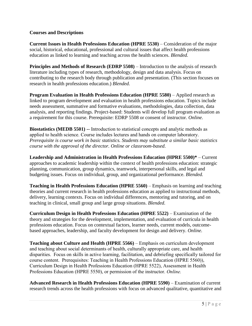#### **Courses and Descriptions**

**Current Issues in Health Professions Education (HPRE 5530)** – Consideration of the major social, historical, educational, professional and cultural issues that affect health professions education as linked to learning and teaching across the health sciences. *Blended.*

**Principles and Methods of Research (EDRP 5508)** – Introduction to the analysis of research literature including types of research, methodology, design and data analysis. Focus on contributing to the research body through publication and presentation*.* (This section focuses on research in health professions education.) *Blended.*

**Program Evaluation in Health Professions Education (HPRE 5580)** – Applied research as linked to program development and evaluation in health professions education. Topics include needs assessment, summative and formative evaluations, methodologies, data collection, data analysis, and reporting findings. Project-based: Students will develop full program evaluation as a requirement for this course. Prerequisite: EDRP 5508 or consent of instructor. *Online.*

**Biostatistics (MEDB 5501) --** Introduction to statistical concepts and analytic methods as applied to health science. Course includes lectures and hands on computer laboratory. *Prerequisite is course work in basic statistics. Students may substitute a similar basic statistics course with the approval of the director. Online or classroom-based*.

**Leadership and Administration in Health Professions Education (HPRE 5500)\*** – Current approaches to academic leadership within the context of health professions education: strategic planning, communication, group dynamics, teamwork, interpersonal skills, and legal and budgeting issues. Focus on individual, group, and organizational performance. *Blended.*

**Teaching in Health Professions Education (HPRE 5560)** – Emphasis on learning and teaching theories and current research in health professions education as applied to instructional methods, delivery, learning contexts. Focus on individual differences, mentoring and tutoring, and on teaching in clinical, small group and large group situations. *Blended.*

**Curriculum Design in Health Professions Education (HPRE 5522)** – Examination of the theory and strategies for the development, implementation, and evaluation of curricula in health professions education. Focus on contextual factors, learner needs, current models, outcomebased approaches, leadership, and faculty development for design and delivery. *Online.*

**Teaching about Culture and Health (HPRE 5566)** – Emphasis on curriculum development and teaching about social determinants of health, culturally appropriate care, and health disparities. Focus on skills in active learning, facilitation, and debriefing specifically tailored for course content. Prerequisites: Teaching in Health Professions Education (HPRE 5560)), Curriculum Design in Health Professions Education (HPRE 5522), Assessment in Health Professions Education (HPRE 5550), or permission of the instructor. *Online.*

**Advanced Research in Health Professions Education (HPRE 5590)** – Examination of current research trends across the health professions with focus on advanced qualitative, quantitative and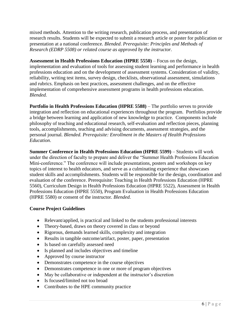mixed methods. Attention to the writing research, publication process, and presentation of research results. Students will be expected to submit a research article or poster for publication or presentation at a national conference. *Blended*. *Prerequisite: Principles and Methods of Research (EDRP 5508) or related course as approved by the instructor.* 

**Assessment in Health Professions Education (HPRE 5550)** – Focus on the design, implementation and evaluation of tools for assessing student learning and performance in health professions education and on the development of assessment systems. Consideration of validity, reliability, writing test items, survey design, checklists, observational assessment, simulations and rubrics. Emphasis on best practices, assessment challenges, and on the effective implementation of comprehensive assessment programs in health professions education. *Blended.*

**Portfolio in Health Professions Education (HPRE 5588)** – The portfolio serves to provide integration and reflection on educational experiences throughout the program. Portfolios provide a bridge between learning and application of new knowledge to practice. Components include philosophy of teaching and educational research, self-evaluation and reflection pieces, planning tools, accomplishments, teaching and advising documents, assessment strategies, and the personal journal. *Blended. Prerequisite: Enrollment in the Masters of Health Professions Education*.

**Summer Conference in Health Professions Education (HPRE 5599)** – Students will work under the direction of faculty to prepare and deliver the "Summer Health Professions Education Mini-conference." The conference will include presentations, posters and workshops on key topics of interest to health educators, and serve as a culminating experience that showcases student skills and accomplishments. Students will be responsible for the design, coordination and evaluation of the conference. Prerequisite: Teaching in Health Professions Education (HPRE 5560), Curriculum Design in Health Professions Education (HPRE 5522), Assessment in Health Professions Education (HPRE 5550), Program Evaluation in Health Professions Education (HPRE 5580) or consent of the instructor. *Blended.*

#### **Course Project Guidelines**

- Relevant/applied, is practical and linked to the students professional interests
- Theory-based, draws on theory covered in class or beyond
- Rigorous, demands learned skills, complexity and integration
- Results in tangible outcome/artifact, poster, paper, presentation
- Is based on carefully assessed need
- Is planned and includes objectives and timeline
- Approved by course instructor
- Demonstrates competence in the course objectives
- Demonstrates competence in one or more of program objectives
- May be collaborative or independent at the instructor's discretion
- Is focused/limited not too broad
- Contributes to the HPE community practice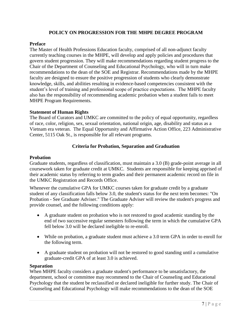#### **POLICY ON PROGRESSION FOR THE MHPE DEGREE PROGRAM**

#### **Preface**

The Master of Health Professions Education faculty, comprised of all non-adjunct faculty currently teaching courses in the MHPE, will develop and apply policies and procedures that govern student progression. They will make recommendations regarding student progress to the Chair of the Department of Counseling and Educational Psychology, who will in turn make recommendations to the dean of the SOE and Registrar. Recommendations made by the MHPE faculty are designed to ensure the positive progression of students who clearly demonstrate knowledge, skills, and abilities resulting in evidence-based competencies consistent with the student's level of training and professional scope of practice expectations. The MHPE faculty also has the responsibility of recommending academic probation when a student fails to meet MHPE Program Requirements.

#### **Statement of Human Rights**

The Board of Curators and UMKC are committed to the policy of equal opportunity, regardless of race, color, religion, sex, sexual orientation, national origin, age, disability and status as a Vietnam era veteran. The Equal Opportunity and Affirmative Action Office, 223 Administrative Center, 5115 Oak St., is responsible for all relevant programs.

#### **Criteria for Probation, Separation and Graduation**

#### **Probation**

Graduate students, regardless of classification, must maintain a 3.0 (B) grade-point average in all coursework taken for graduate credit at UMKC. Students are responsible for keeping apprised of their academic status by referring to term grades and their permanent academic record on file in the UMKC Registration and Records Office.

Whenever the cumulative GPA for UMKC courses taken for graduate credit by a graduate student of any classification falls below 3.0, the student's status for the next term becomes: "On Probation - See Graduate Adviser." The Graduate Adviser will review the student's progress and provide counsel, and the following conditions apply:

- A graduate student on probation who is not restored to good academic standing by the end of two successive regular semesters following the term in which the cumulative GPA fell below 3.0 will be declared ineligible to re-enroll.
- While on probation, a graduate student must achieve a 3.0 term GPA in order to enroll for the following term.
- A graduate student on probation will not be restored to good standing until a cumulative graduate-credit GPA of at least 3.0 is achieved.

#### **Separation**

When MHPE faculty considers a graduate student's performance to be unsatisfactory, the department, school or committee may recommend to the Chair of Counseling and Educational Psychology that the student be reclassified or declared ineligible for further study. The Chair of Counseling and Educational Psychology will make recommendations to the dean of the SOE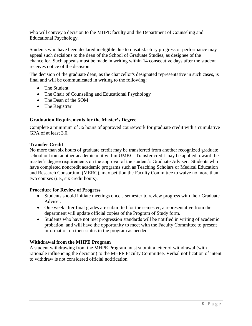who will convey a decision to the MHPE faculty and the Department of Counseling and Educational Psychology.

Students who have been declared ineligible due to unsatisfactory progress or performance may appeal such decisions to the dean of the School of Graduate Studies, as designee of the chancellor. Such appeals must be made in writing within 14 consecutive days after the student receives notice of the decision.

The decision of the graduate dean, as the chancellor's designated representative in such cases, is final and will be communicated in writing to the following:

- The Student
- The Chair of Counseling and Educational Psychology
- The Dean of the SOM
- The Registrar

#### **Graduation Requirements for the Master's Degree**

Complete a minimum of 36 hours of approved coursework for graduate credit with a cumulative GPA of at least 3.0.

#### **Transfer Credit**

No more than six hours of graduate credit may be transferred from another recognized graduate school or from another academic unit within UMKC. Transfer credit may be applied toward the master's degree requirements on the approval of the student's Graduate Adviser. Students who have completed noncredit academic programs such as Teaching Scholars or Medical Education and Research Consortium (MERC), may petition the Faculty Committee to waive no more than two courses (i.e., six credit hours).

#### **Procedure for Review of Progress**

- Students should initiate meetings once a semester to review progress with their Graduate Adviser.
- One week after final grades are submitted for the semester, a representative from the department will update official copies of the Program of Study form.
- Students who have not met progression standards will be notified in writing of academic probation, and will have the opportunity to meet with the Faculty Committee to present information on their status in the program as needed.

#### **Withdrawal from the MHPE Program**

A student withdrawing from the MHPE Program must submit a letter of withdrawal (with rationale influencing the decision) to the MHPE Faculty Committee. Verbal notification of intent to withdraw is not considered official notification.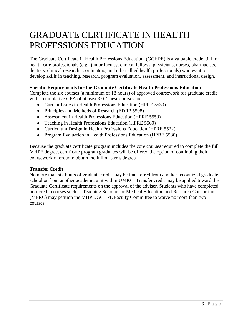### GRADUATE CERTIFICATE IN HEALTH PROFESSIONS EDUCATION

The Graduate Certificate in Health Professions Education (GCHPE) is a valuable credential for health care professionals (e.g., junior faculty, clinical fellows, physicians, nurses, pharmacists, dentists, clinical research coordinators, and other allied health professionals) who want to develop skills in teaching, research, program evaluation, assessment, and instructional design.

#### **Specific Requirements for the Graduate Certificate Health Professions Education**

Complete the six courses (a minimum of 18 hours) of approved coursework for graduate credit with a cumulative GPA of at least 3.0. These courses are:

- Current Issues in Health Professions Education (HPRE 5530)
- Principles and Methods of Research (EDRP 5508)
- Assessment in Health Professions Education (HPRE 5550)
- Teaching in Health Professions Education (HPRE 5560)
- Curriculum Design in Health Professions Education (HPRE 5522)
- Program Evaluation in Health Professions Education (HPRE 5580)

Because the graduate certificate program includes the core courses required to complete the full MHPE degree, certificate program graduates will be offered the option of continuing their coursework in order to obtain the full master's degree.

#### **Transfer Credit**

No more than six hours of graduate credit may be transferred from another recognized graduate school or from another academic unit within UMKC. Transfer credit may be applied toward the Graduate Certificate requirements on the approval of the adviser. Students who have completed non-credit courses such as Teaching Scholars or Medical Education and Research Consortium (MERC) may petition the MHPE/GCHPE Faculty Committee to waive no more than two courses.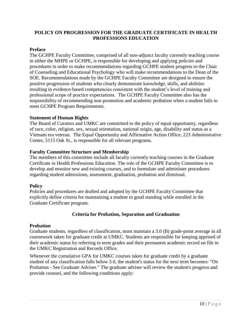#### **POLICY ON PROGRESSION FOR THE GRADUATE CERTIFICATE IN HEALTH PROFESSIONS EDUCATION**

#### **Preface**

The GCHPE Faculty Committee, comprised of all non-adjunct faculty currently teaching course in either the MHPE or GCHPE, is responsible for developing and applying policies and procedures in order to make recommendations regarding GCHPE student progress to the Chair of Counseling and Educational Psychology who will make recommendations to the Dean of the SOE. Recommendations made by the GCHPE Faculty Committee are designed to ensure the positive progression of students who clearly demonstrate knowledge, skills, and abilities resulting in evidence-based competencies consistent with the student's level of training and professional scope of practice expectations. The GCHPE Faculty Committee also has the responsibility of recommending non-promotion and academic probation when a student fails to meet GCHPE Program Requirements.

#### **Statement of Human Rights**

The Board of Curators and UMKC are committed to the policy of equal opportunity, regardless of race, color, religion, sex, sexual orientation, national origin, age, disability and status as a Vietnam era veteran. The Equal Opportunity and Affirmative Action Office, 223 Administrative Center, 5115 Oak St., is responsible for all relevant programs.

#### **Faculty Committee Structure and Membership**

The members of this committee include all faculty currently teaching courses in the Graduate Certificate in Health Professions Education. The role of the GCHPE Faculty Committee is to develop and monitor new and existing courses, and to formulate and administer procedures regarding student admissions, assessment, graduation, probation and dismissal.

#### **Policy**

Policies and procedures are drafted and adopted by the GCHPE Faculty Committee that explicitly define criteria for maintaining a student in good standing while enrolled in the Graduate Certificate program.

#### **Criteria for Probation, Separation and Graduation**

#### **Probation**

Graduate students, regardless of classification, must maintain a 3.0 (B) grade-point average in all coursework taken for graduate credit at UMKC. Students are responsible for keeping apprised of their academic status by referring to term grades and their permanent academic record on file in the UMKC Registration and Records Office.

Whenever the cumulative GPA for UMKC courses taken for graduate credit by a graduate student of any classification falls below 3.0, the student's status for the next term becomes: "On Probation - See Graduate Adviser." The graduate adviser will review the student's progress and provide counsel, and the following conditions apply: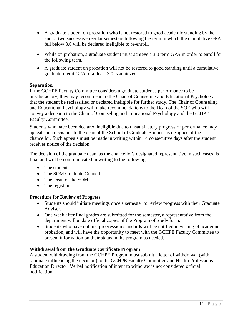- A graduate student on probation who is not restored to good academic standing by the end of two successive regular semesters following the term in which the cumulative GPA fell below 3.0 will be declared ineligible to re-enroll.
- While on probation, a graduate student must achieve a 3.0 term GPA in order to enroll for the following term.
- A graduate student on probation will not be restored to good standing until a cumulative graduate-credit GPA of at least 3.0 is achieved.

#### **Separation**

If the GCHPE Faculty Committee considers a graduate student's performance to be unsatisfactory, they may recommend to the Chair of Counseling and Educational Psychology that the student be reclassified or declared ineligible for further study. The Chair of Counseling and Educational Psychology will make recommendations to the Dean of the SOE who will convey a decision to the Chair of Counseling and Educational Psychology and the GCHPE Faculty Committee.

Students who have been declared ineligible due to unsatisfactory progress or performance may appeal such decisions to the dean of the School of Graduate Studies, as designee of the chancellor. Such appeals must be made in writing within 14 consecutive days after the student receives notice of the decision.

The decision of the graduate dean, as the chancellor's designated representative in such cases, is final and will be communicated in writing to the following:

- The student
- The SOM Graduate Council
- The Dean of the SOM
- The registrar

#### **Procedure for Review of Progress**

- Students should initiate meetings once a semester to review progress with their Graduate Adviser.
- One week after final grades are submitted for the semester, a representative from the department will update official copies of the Program of Study form.
- Students who have not met progression standards will be notified in writing of academic probation, and will have the opportunity to meet with the GCHPE Faculty Committee to present information on their status in the program as needed.

#### **Withdrawal from the Graduate Certificate Program**

A student withdrawing from the GCHPE Program must submit a letter of withdrawal (with rationale influencing the decision) to the GCHPE Faculty Committee and Health Professions Education Director. Verbal notification of intent to withdraw is not considered official notification.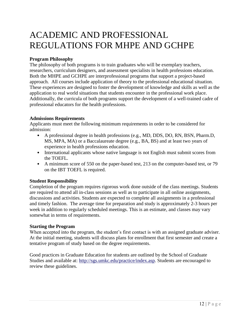### ACADEMIC AND PROFESSIONAL REGULATIONS FOR MHPE AND GCHPE

#### **Program Philosophy**

The philosophy of both programs is to train graduates who will be exemplary teachers, researchers, curriculum designers, and assessment specialists in health professions education. Both the MHPE and GCHPE are interprofessional programs that support a project-based approach. All courses include application of theory to the professional educational situation. These experiences are designed to foster the development of knowledge and skills as well as the application to real world situations that students encounter in the professional work place. Additionally, the curricula of both programs support the development of a well-trained cadre of professional educators for the health professions.

#### **Admissions Requirements**

Applicants must meet the following minimum requirements in order to be considered for admission:

- A professional degree in health professions (e.g., MD, DDS, DO, RN, BSN, Pharm.D, MS, MPA, MA) or a Baccalaureate degree (e.g., BA, BS) and at least two years of experience in health professions education.
- International applicants whose native language is not English must submit scores from the TOEFL.
- A minimum score of 550 on the paper-based test, 213 on the computer-based test, or 79 on the IBT TOEFL is required.

#### **Student Responsibility**

Completion of the program requires rigorous work done outside of the class meetings. Students are required to attend all in-class sessions as well as to participate in all online assignments, discussions and activities. Students are expected to complete all assignments in a professional and timely fashion. The average time for preparation and study is approximately 2-3 hours per week in addition to regularly scheduled meetings. This is an estimate, and classes may vary somewhat in terms of requirements.

#### **Starting the Program**

When accepted into the program, the student's first contact is with an assigned graduate adviser. At the initial meeting, students will discuss plans for enrollment that first semester and create a tentative program of study based on the degree requirements.

Good practices in Graduate Education for students are outlined by the School of Graduate Studies and available at: [http://sgs.umkc.edu/practice/index.asp.](http://sgs.umkc.edu/practice/index.asp) Students are encouraged to review these guidelines.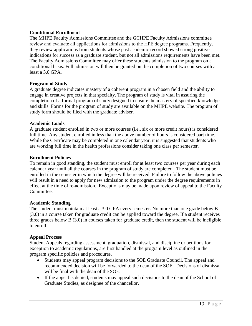#### **Conditional Enrollment**

The MHPE Faculty Admissions Committee and the GCHPE Faculty Admissions committee review and evaluate all applications for admissions to the HPE degree programs. Frequently, they review applications from students whose past academic record showed strong positive indications for success as a graduate student, but not all admissions requirements have been met. The Faculty Admissions Committee may offer these students admission to the program on a conditional basis. Full admission will then be granted on the completion of two courses with at least a 3.0 GPA.

#### **Program of Study**

A graduate degree indicates mastery of a coherent program in a chosen field and the ability to engage in creative projects in that specialty. The program of study is vital in assuring the completion of a formal program of study designed to ensure the mastery of specified knowledge and skills. Forms for the program of study are available on the MHPE website. The program of study form should be filed with the graduate adviser.

#### **Academic Loads**

A graduate student enrolled in two or more courses (i.e., six or more credit hours) is considered full time. Any student enrolled in less than the above number of hours is considered part time. While the Certificate may be completed in one calendar year, it is suggested that students who are working full time in the health professions consider taking one class per semester.

#### **Enrollment Policies**

To remain in good standing, the student must enroll for at least two courses per year during each calendar year until all the courses in the program of study are completed. The student must be enrolled in the semester in which the degree will be received. Failure to follow the above policies will result in a need to apply for new admission to the program under the degree requirements in effect at the time of re-admission. Exceptions may be made upon review of appeal to the Faculty Committee.

#### **Academic Standing**

The student must maintain at least a 3.0 GPA every semester. No more than one grade below B (3.0) in a course taken for graduate credit can be applied toward the degree. If a student receives three grades below B (3.0) in courses taken for graduate credit, then the student will be ineligible to enroll.

#### **Appeal Process**

Student Appeals regarding assessment, graduation, dismissal, and discipline or petitions for exception to academic regulations, are first handled at the program level as outlined in the program specific policies and procedures.

- Students may appeal program decisions to the SOE Graduate Council. The appeal and recommended decision will be forwarded to the dean of the SOE. Decisions of dismissal will be final with the dean of the SOE.
- If the appeal is denied, students may appeal such decisions to the dean of the School of Graduate Studies, as designee of the chancellor.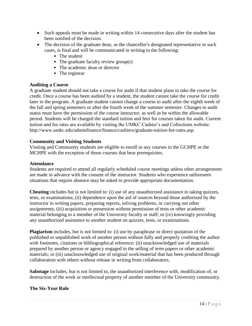- Such appeals must be made in writing within 14 consecutive days after the student has been notified of the decision.
- The decision of the graduate dean, as the chancellor's designated representative in such cases, is final and will be communicated in writing to the following:
	- The student
	- The graduate faculty review group(s)
	- The academic dean or director
	- The registrar

#### **Auditing a Course**

A graduate student should not take a course for audit if that student plans to take the course for credit. Once a course has been audited by a student, the student cannot take the course for credit later in the program. A graduate student cannot change a course to audit after the eighth week of the fall and spring semesters or after the fourth week of the summer semester. Changes to audit status must have the permission of the course instructor, as well as be within the allowable period. Students will be charged the standard tuition and fees for courses taken for audit. Current tuition and fee rates are available by visiting the UMKC Cashier's and Collections website: [http://www.umkc.edu/adminfinance/finance/cashiers/graduate-tuition-fee-rates.asp.](http://www.umkc.edu/adminfinance/finance/cashiers/graduate-tuition-fee-rates.asp)

#### **Community and Visiting Students**

Visiting and Community students are eligible to enroll in any courses in the GCHPE or the MCHPE with the exception of those courses that bear prerequisites.

#### **Attendance**

Students are required to attend all regularly scheduled course meetings unless other arrangements are made in advance with the consent of the instructor. Students who experience unforeseen situations that require absence may be asked to provide appropriate documentation.

**Cheating** includes but is not limited to: (i) use of any unauthorized assistance in taking quizzes, tests, or examinations; (ii) dependence upon the aid of sources beyond those authorized by the instructor in writing papers, preparing reports, solving problems, or carrying out other assignments; (iii) acquisition or possession without permission of tests or other academic material belonging to a member of the University faculty or staff; or (iv) knowingly providing any unauthorized assistance to another student on quizzes, tests, or examinations.

**Plagiarism** includes, but is not limited to: (i) use by paraphrase or direct quotation of the published or unpublished work of another person without fully and properly crediting the author with footnotes, citations or bibliographical reference; (ii) unacknowledged use of materials prepared by another person or agency engaged in the selling of term papers or other academic materials; or (iii) unacknowledged use of original work/material that has been produced through collaboration with others without release in writing from collaborators.

**Sabotage** includes, but is not limited to, the unauthorized interference with, modification of, or destruction of the work or intellectual property of another member of the University community.

#### **The Six-Year Rule**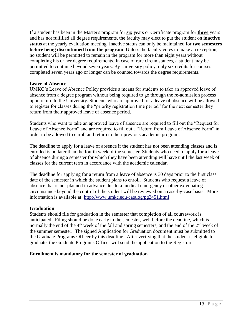If a student has been in the Master's program for **six** years or Certificate program for **three** years and has not fulfilled all degree requirements, the faculty may elect to put the student on **inactive status** at the yearly evaluation meeting. Inactive status can only be maintained for **two semesters before being discontinued from the program**. Unless the faculty votes to make an exception, no student will be permitted to remain in the program for more than eight years without completing his or her degree requirements. In case of rare circumstances, a student may be permitted to continue beyond seven years. By University policy, only six credits for courses completed seven years ago or longer can be counted towards the degree requirements.

#### **Leave of Absence**

UMKC's Leave of Absence Policy provides a means for students to take an approved leave of absence from a degree program without being required to go through the re-admission process upon return to the University. Students who are approved for a leave of absence will be allowed to register for classes during the "priority registration time period" for the next semester they return from their approved leave of absence period.

Students who want to take an approved leave of absence are required to fill out the "Request for Leave of Absence Form" and are required to fill out a "Return from Leave of Absence Form" in order to be allowed to enroll and return to their previous academic program.

The deadline to apply for a leave of absence if the student has not been attending classes and is enrolled is no later than the fourth week of the semester. Students who need to apply for a leave of absence during a semester for which they have been attending will have until the last week of classes for the current term in accordance with the academic calendar.

The deadline for applying for a return from a leave of absence is 30 days prior to the first class date of the semester in which the student plans to enroll. Students who request a leave of absence that is not planned in advance due to a medical emergency or other extenuating circumstance beyond the control of the student will be reviewed on a case-by-case basis. More information is available at:<http://www.umkc.edu/catalog/pg2451.html>

#### **Graduation**

Students should file for graduation in the semester that completion of all coursework is anticipated. Filing should be done early in the semester, well before the deadline, which is normally the end of the  $4<sup>th</sup>$  week of the fall and spring semesters, and the end of the  $2<sup>nd</sup>$  week of the summer semester. The signed Application for Graduation document must be submitted to the Graduate Programs Officer by this deadline. After verifying that the student is eligible to graduate, the Graduate Programs Officer will send the application to the Registrar.

#### **Enrollment is mandatory for the semester of graduation.**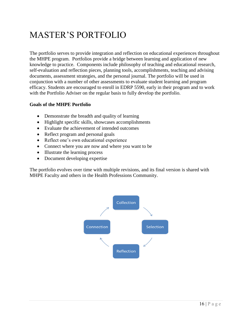## MASTER'S PORTFOLIO

The portfolio serves to provide integration and reflection on educational experiences throughout the MHPE program. Portfolios provide a bridge between learning and application of new knowledge to practice. Components include philosophy of teaching and educational research, self-evaluation and reflection pieces, planning tools, accomplishments, teaching and advising documents, assessment strategies, and the personal journal. The portfolio will be used in conjunction with a number of other assessments to evaluate student learning and program efficacy. Students are encouraged to enroll in EDRP 5590, early in their program and to work with the Portfolio Adviser on the regular basis to fully develop the portfolio.

#### **Goals of the MHPE Portfolio**

- Demonstrate the breadth and quality of learning
- Highlight specific skills, showcases accomplishments
- Evaluate the achievement of intended outcomes
- Reflect program and personal goals
- Reflect one's own educational experience
- Connect where you are now and where you want to be
- Illustrate the learning process
- Document developing expertise

The portfolio evolves over time with multiple revisions, and its final version is shared with MHPE Faculty and others in the Health Professions Community.